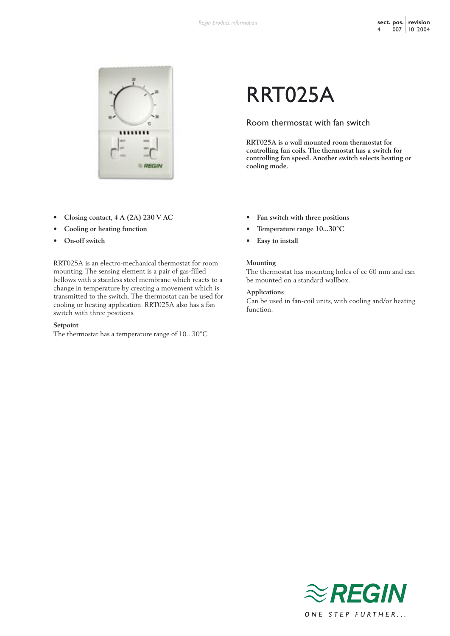

- **Closing contact, 4 A (2A) 230 V AC**
- **Cooling or heating function**
- **On-off switch**

RRT025A is an electro-mechanical thermostat for room mounting. The sensing element is a pair of gas-filled bellows with a stainless steel membrane which reacts to a change in temperature by creating a movement which is transmitted to the switch. The thermostat can be used for cooling or heating application. RRT025A also has a fan switch with three positions.

#### **Setpoint**

The thermostat has a temperature range of 10...30°C.

# RRT025A

## Room thermostat with fan switch

**RRT025A is a wall mounted room thermostat for controlling fan coils. The thermostat has a switch for controlling fan speed. Another switch selects heating or cooling mode.**

- **Fan switch with three positions**
- **Temperature range 10...30°C**
- **Easy to install**

## **Mounting**

The thermostat has mounting holes of cc 60 mm and can be mounted on a standard wallbox.

### **Applications**

Can be used in fan-coil units, with cooling and/or heating function.